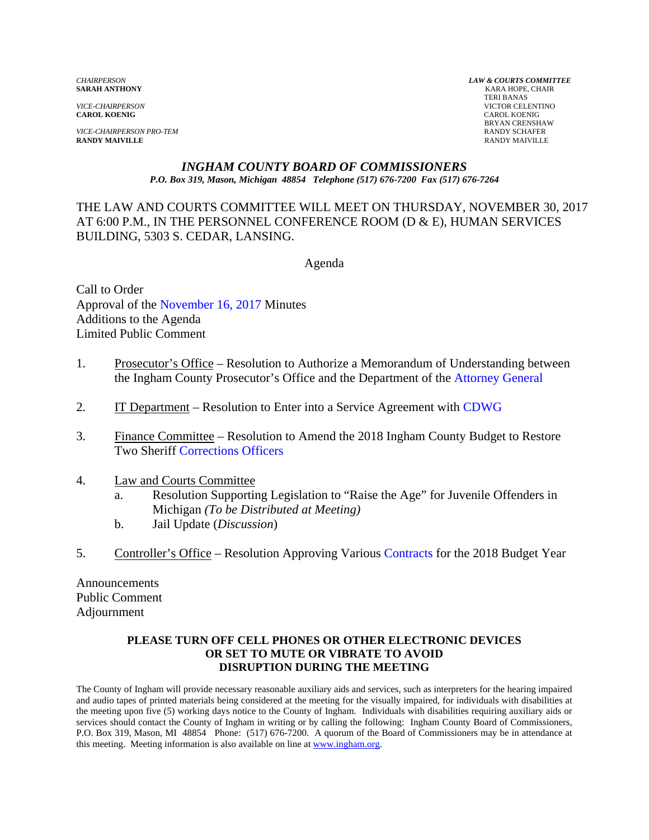**CAROL KOENIG** CAROL KOENIG

*VICE-CHAIRPERSON PRO-TEM* RANDY SCHAFER **RANDY MAIVILLE** RANDY MAIVILLE

*CHAIRPERSON LAW & COURTS COMMITTEE* **KARA HOPE, CHAIR**  TERI BANAS *VICE-CHAIRPERSON* VICTOR CELENTINO BRYAN CRENSHAW

#### *INGHAM COUNTY BOARD OF COMMISSIONERS P.O. Box 319, Mason, Michigan 48854 Telephone (517) 676-7200 Fax (517) 676-7264*

THE LAW AND COURTS COMMITTEE WILL MEET ON THURSDAY, NOVEMBER 30, 2017 AT 6:00 P.M., IN THE PERSONNEL CONFERENCE ROOM (D & E), HUMAN SERVICES BUILDING, 5303 S. CEDAR, LANSING.

Agenda

Call to Order Approva[l of the November 16, 2017 Minutes](#page-1-0)  Additions to the Agenda Limited Public Comment

- 1. Prosecutor's Office Resolution to Authorize a Memorandum of [Understanding between](#page-5-0) the Ingham County Prosecutor's Office and the Department of the Attorney General
- 2. IT Department Resolution to Enter into a Service Agreement [with CDWG](#page-7-0)
- 3. Finance Committee Resolution to Amend the 2018 Ingham County Budget to Restore Two She[riff Corrections Officers](#page-9-0)
- 4. Law and Courts Committee
	- a. Resolution Supporting Legislation to "Raise the Age" for Juvenile Offenders in Michigan *(To be Distributed at Meeting)*
	- b. Jail Update (*Discussion*)
- 5. Controller's Office Resolution Approving [Various Contracts for the 2018](#page-12-0) Budget Year

Announcements Public Comment Adjournment

#### **PLEASE TURN OFF CELL PHONES OR OTHER ELECTRONIC DEVICES OR SET TO MUTE OR VIBRATE TO AVOID DISRUPTION DURING THE MEETING**

The County of Ingham will provide necessary reasonable auxiliary aids and services, such as interpreters for the hearing impaired and audio tapes of printed materials being considered at the meeting for the visually impaired, for individuals with disabilities at the meeting upon five (5) working days notice to the County of Ingham. Individuals with disabilities requiring auxiliary aids or services should contact the County of Ingham in writing or by calling the following: Ingham County Board of Commissioners, P.O. Box 319, Mason, MI 48854 Phone: (517) 676-7200. A quorum of the Board of Commissioners may be in attendance at this meeting. Meeting information is also available on line at www.ingham.org.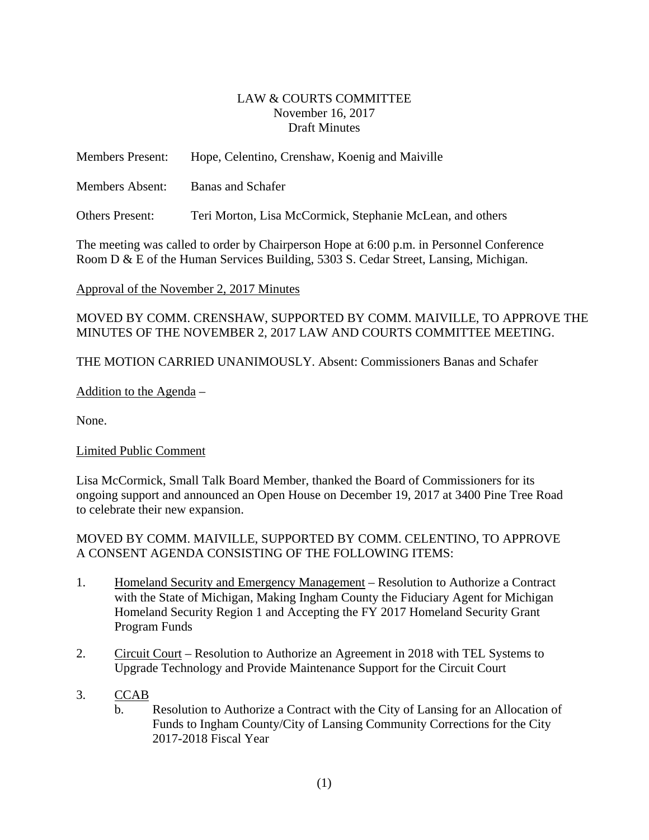### LAW & COURTS COMMITTEE November 16, 2017 Draft Minutes

<span id="page-1-0"></span>

| <b>Members Present:</b> | Hope, Celentino, Crenshaw, Koenig and Maiville            |
|-------------------------|-----------------------------------------------------------|
| <b>Members Absent:</b>  | <b>Banas and Schafer</b>                                  |
| <b>Others Present:</b>  | Teri Morton, Lisa McCormick, Stephanie McLean, and others |

The meeting was called to order by Chairperson Hope at 6:00 p.m. in Personnel Conference Room D & E of the Human Services Building, 5303 S. Cedar Street, Lansing, Michigan.

# Approval of the November 2, 2017 Minutes

# MOVED BY COMM. CRENSHAW, SUPPORTED BY COMM. MAIVILLE, TO APPROVE THE MINUTES OF THE NOVEMBER 2, 2017 LAW AND COURTS COMMITTEE MEETING.

THE MOTION CARRIED UNANIMOUSLY. Absent: Commissioners Banas and Schafer

# Addition to the Agenda –

None.

# Limited Public Comment

Lisa McCormick, Small Talk Board Member, thanked the Board of Commissioners for its ongoing support and announced an Open House on December 19, 2017 at 3400 Pine Tree Road to celebrate their new expansion.

### MOVED BY COMM. MAIVILLE, SUPPORTED BY COMM. CELENTINO, TO APPROVE A CONSENT AGENDA CONSISTING OF THE FOLLOWING ITEMS:

- 1. Homeland Security and Emergency Management Resolution to Authorize a Contract with the State of Michigan, Making Ingham County the Fiduciary Agent for Michigan Homeland Security Region 1 and Accepting the FY 2017 Homeland Security Grant Program Funds
- 2. Circuit Court Resolution to Authorize an Agreement in 2018 with TEL Systems to Upgrade Technology and Provide Maintenance Support for the Circuit Court

# 3. CCAB

b. Resolution to Authorize a Contract with the City of Lansing for an Allocation of Funds to Ingham County/City of Lansing Community Corrections for the City 2017-2018 Fiscal Year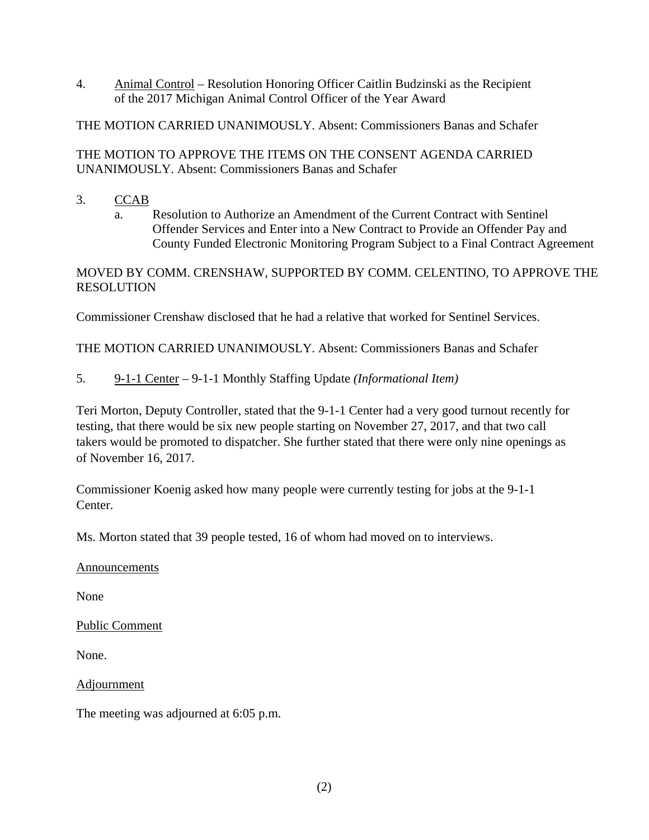4. Animal Control – Resolution Honoring Officer Caitlin Budzinski as the Recipient of the 2017 Michigan Animal Control Officer of the Year Award

THE MOTION CARRIED UNANIMOUSLY. Absent: Commissioners Banas and Schafer

# THE MOTION TO APPROVE THE ITEMS ON THE CONSENT AGENDA CARRIED UNANIMOUSLY. Absent: Commissioners Banas and Schafer

- 3. CCAB
	- a. Resolution to Authorize an Amendment of the Current Contract with Sentinel Offender Services and Enter into a New Contract to Provide an Offender Pay and County Funded Electronic Monitoring Program Subject to a Final Contract Agreement

MOVED BY COMM. CRENSHAW, SUPPORTED BY COMM. CELENTINO, TO APPROVE THE **RESOLUTION** 

Commissioner Crenshaw disclosed that he had a relative that worked for Sentinel Services.

THE MOTION CARRIED UNANIMOUSLY. Absent: Commissioners Banas and Schafer

5. 9-1-1 Center – 9-1-1 Monthly Staffing Update *(Informational Item)*

Teri Morton, Deputy Controller, stated that the 9-1-1 Center had a very good turnout recently for testing, that there would be six new people starting on November 27, 2017, and that two call takers would be promoted to dispatcher. She further stated that there were only nine openings as of November 16, 2017.

Commissioner Koenig asked how many people were currently testing for jobs at the 9-1-1 Center.

Ms. Morton stated that 39 people tested, 16 of whom had moved on to interviews.

Announcements

None

Public Comment

None.

Adjournment

The meeting was adjourned at 6:05 p.m.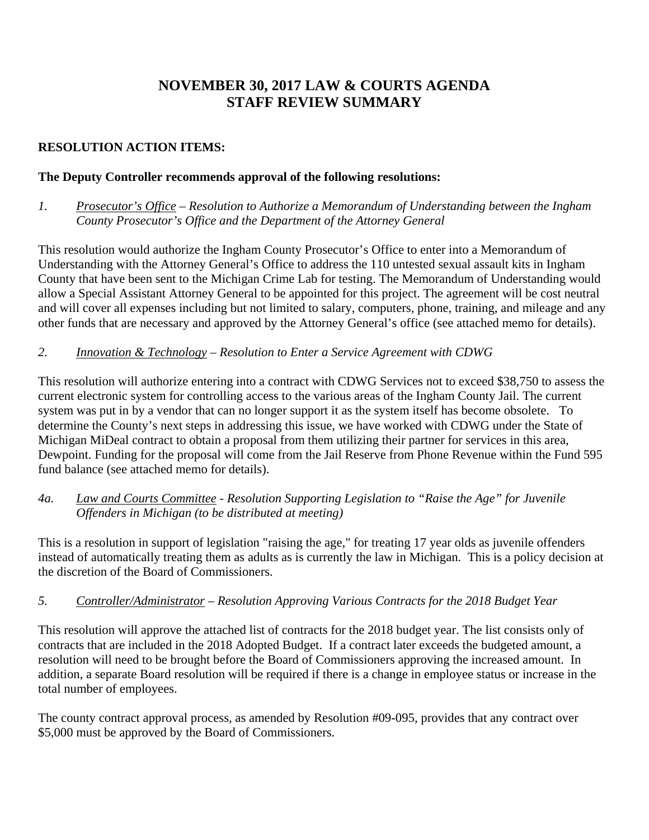# **NOVEMBER 30, 2017 LAW & COURTS AGENDA STAFF REVIEW SUMMARY**

# **RESOLUTION ACTION ITEMS:**

## **The Deputy Controller recommends approval of the following resolutions:**

*1. Prosecutor's Office – Resolution to Authorize a Memorandum of Understanding between the Ingham County Prosecutor's Office and the Department of the Attorney General* 

This resolution would authorize the Ingham County Prosecutor's Office to enter into a Memorandum of Understanding with the Attorney General's Office to address the 110 untested sexual assault kits in Ingham County that have been sent to the Michigan Crime Lab for testing. The Memorandum of Understanding would allow a Special Assistant Attorney General to be appointed for this project. The agreement will be cost neutral and will cover all expenses including but not limited to salary, computers, phone, training, and mileage and any other funds that are necessary and approved by the Attorney General's office (see attached memo for details).

### *2. Innovation & Technology – Resolution to Enter a Service Agreement with CDWG*

This resolution will authorize entering into a contract with CDWG Services not to exceed \$38,750 to assess the current electronic system for controlling access to the various areas of the Ingham County Jail. The current system was put in by a vendor that can no longer support it as the system itself has become obsolete. To determine the County's next steps in addressing this issue, we have worked with CDWG under the State of Michigan MiDeal contract to obtain a proposal from them utilizing their partner for services in this area, Dewpoint. Funding for the proposal will come from the Jail Reserve from Phone Revenue within the Fund 595 fund balance (see attached memo for details).

# *4a. Law and Courts Committee - Resolution Supporting Legislation to "Raise the Age" for Juvenile Offenders in Michigan (to be distributed at meeting)*

This is a resolution in support of legislation "raising the age," for treating 17 year olds as juvenile offenders instead of automatically treating them as adults as is currently the law in Michigan. This is a policy decision at the discretion of the Board of Commissioners.

# *5. Controller/Administrator – Resolution Approving Various Contracts for the 2018 Budget Year*

This resolution will approve the attached list of contracts for the 2018 budget year. The list consists only of contracts that are included in the 2018 Adopted Budget. If a contract later exceeds the budgeted amount, a resolution will need to be brought before the Board of Commissioners approving the increased amount. In addition, a separate Board resolution will be required if there is a change in employee status or increase in the total number of employees.

The county contract approval process, as amended by Resolution #09-095, provides that any contract over \$5,000 must be approved by the Board of Commissioners.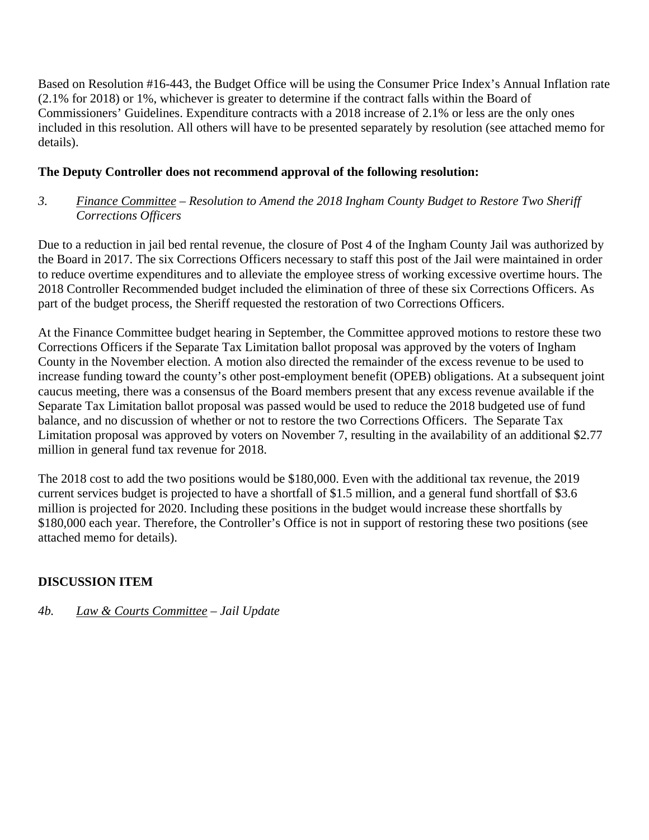Based on Resolution #16-443, the Budget Office will be using the Consumer Price Index's Annual Inflation rate (2.1% for 2018) or 1%, whichever is greater to determine if the contract falls within the Board of Commissioners' Guidelines. Expenditure contracts with a 2018 increase of 2.1% or less are the only ones included in this resolution. All others will have to be presented separately by resolution (see attached memo for details).

# **The Deputy Controller does not recommend approval of the following resolution:**

*3. Finance Committee – Resolution to Amend the 2018 Ingham County Budget to Restore Two Sheriff Corrections Officers*

Due to a reduction in jail bed rental revenue, the closure of Post 4 of the Ingham County Jail was authorized by the Board in 2017. The six Corrections Officers necessary to staff this post of the Jail were maintained in order to reduce overtime expenditures and to alleviate the employee stress of working excessive overtime hours. The 2018 Controller Recommended budget included the elimination of three of these six Corrections Officers. As part of the budget process, the Sheriff requested the restoration of two Corrections Officers.

At the Finance Committee budget hearing in September, the Committee approved motions to restore these two Corrections Officers if the Separate Tax Limitation ballot proposal was approved by the voters of Ingham County in the November election. A motion also directed the remainder of the excess revenue to be used to increase funding toward the county's other post-employment benefit (OPEB) obligations. At a subsequent joint caucus meeting, there was a consensus of the Board members present that any excess revenue available if the Separate Tax Limitation ballot proposal was passed would be used to reduce the 2018 budgeted use of fund balance, and no discussion of whether or not to restore the two Corrections Officers. The Separate Tax Limitation proposal was approved by voters on November 7, resulting in the availability of an additional \$2.77 million in general fund tax revenue for 2018.

The 2018 cost to add the two positions would be \$180,000. Even with the additional tax revenue, the 2019 current services budget is projected to have a shortfall of \$1.5 million, and a general fund shortfall of \$3.6 million is projected for 2020. Including these positions in the budget would increase these shortfalls by \$180,000 each year. Therefore, the Controller's Office is not in support of restoring these two positions (see attached memo for details).

# **DISCUSSION ITEM**

*4b. Law & Courts Committee – Jail Update*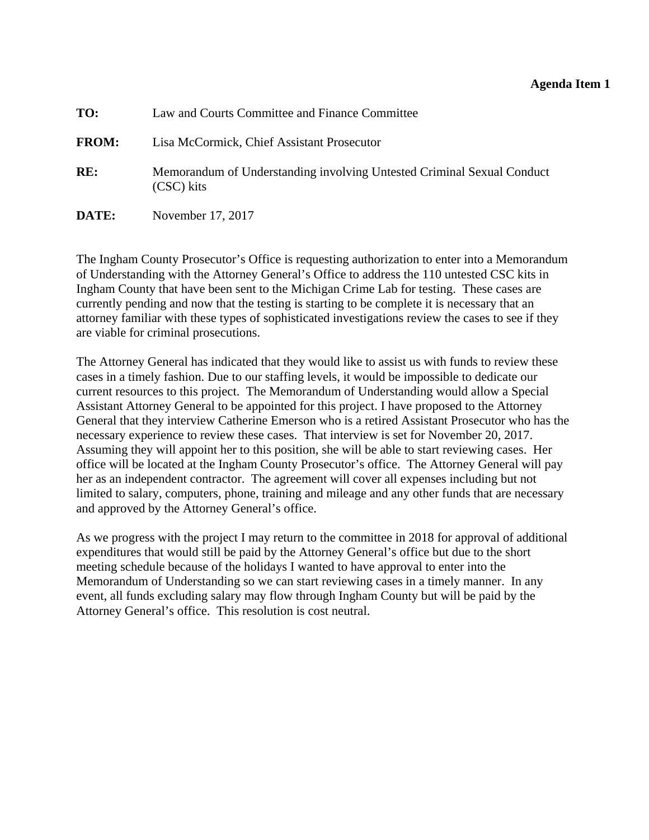### **Agenda Item 1**

<span id="page-5-0"></span>

| TO:          | Law and Courts Committee and Finance Committee                                       |
|--------------|--------------------------------------------------------------------------------------|
| <b>FROM:</b> | Lisa McCormick, Chief Assistant Prosecutor                                           |
| RE:          | Memorandum of Understanding involving Untested Criminal Sexual Conduct<br>(CSC) kits |
| DATE:        | November 17, 2017                                                                    |

The Ingham County Prosecutor's Office is requesting authorization to enter into a Memorandum of Understanding with the Attorney General's Office to address the 110 untested CSC kits in Ingham County that have been sent to the Michigan Crime Lab for testing. These cases are currently pending and now that the testing is starting to be complete it is necessary that an attorney familiar with these types of sophisticated investigations review the cases to see if they are viable for criminal prosecutions.

The Attorney General has indicated that they would like to assist us with funds to review these cases in a timely fashion. Due to our staffing levels, it would be impossible to dedicate our current resources to this project. The Memorandum of Understanding would allow a Special Assistant Attorney General to be appointed for this project. I have proposed to the Attorney General that they interview Catherine Emerson who is a retired Assistant Prosecutor who has the necessary experience to review these cases. That interview is set for November 20, 2017. Assuming they will appoint her to this position, she will be able to start reviewing cases. Her office will be located at the Ingham County Prosecutor's office. The Attorney General will pay her as an independent contractor. The agreement will cover all expenses including but not limited to salary, computers, phone, training and mileage and any other funds that are necessary and approved by the Attorney General's office.

As we progress with the project I may return to the committee in 2018 for approval of additional expenditures that would still be paid by the Attorney General's office but due to the short meeting schedule because of the holidays I wanted to have approval to enter into the Memorandum of Understanding so we can start reviewing cases in a timely manner. In any event, all funds excluding salary may flow through Ingham County but will be paid by the Attorney General's office. This resolution is cost neutral.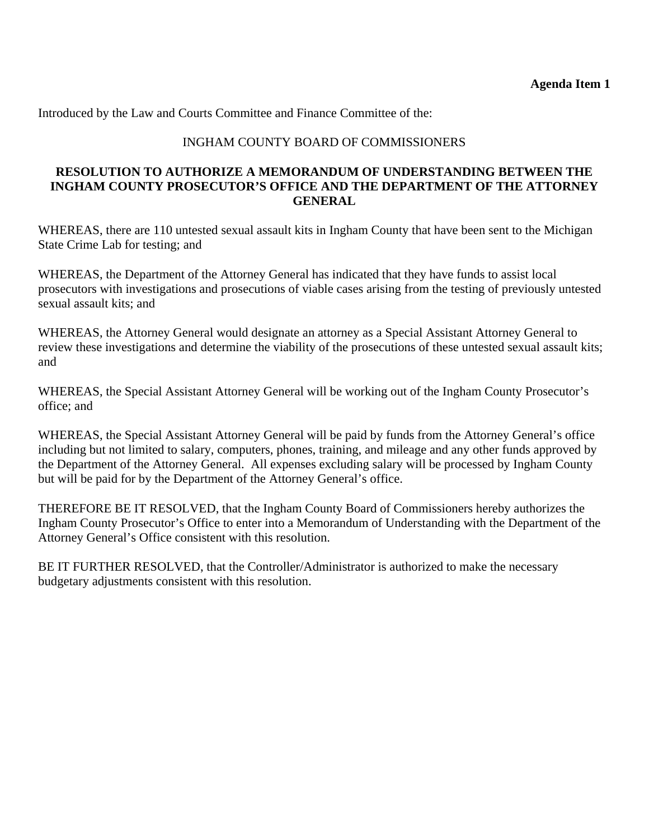Introduced by the Law and Courts Committee and Finance Committee of the:

# INGHAM COUNTY BOARD OF COMMISSIONERS

### **RESOLUTION TO AUTHORIZE A MEMORANDUM OF UNDERSTANDING BETWEEN THE INGHAM COUNTY PROSECUTOR'S OFFICE AND THE DEPARTMENT OF THE ATTORNEY GENERAL**

WHEREAS, there are 110 untested sexual assault kits in Ingham County that have been sent to the Michigan State Crime Lab for testing; and

WHEREAS, the Department of the Attorney General has indicated that they have funds to assist local prosecutors with investigations and prosecutions of viable cases arising from the testing of previously untested sexual assault kits; and

WHEREAS, the Attorney General would designate an attorney as a Special Assistant Attorney General to review these investigations and determine the viability of the prosecutions of these untested sexual assault kits; and

WHEREAS, the Special Assistant Attorney General will be working out of the Ingham County Prosecutor's office; and

WHEREAS, the Special Assistant Attorney General will be paid by funds from the Attorney General's office including but not limited to salary, computers, phones, training, and mileage and any other funds approved by the Department of the Attorney General. All expenses excluding salary will be processed by Ingham County but will be paid for by the Department of the Attorney General's office.

THEREFORE BE IT RESOLVED, that the Ingham County Board of Commissioners hereby authorizes the Ingham County Prosecutor's Office to enter into a Memorandum of Understanding with the Department of the Attorney General's Office consistent with this resolution.

BE IT FURTHER RESOLVED, that the Controller/Administrator is authorized to make the necessary budgetary adjustments consistent with this resolution.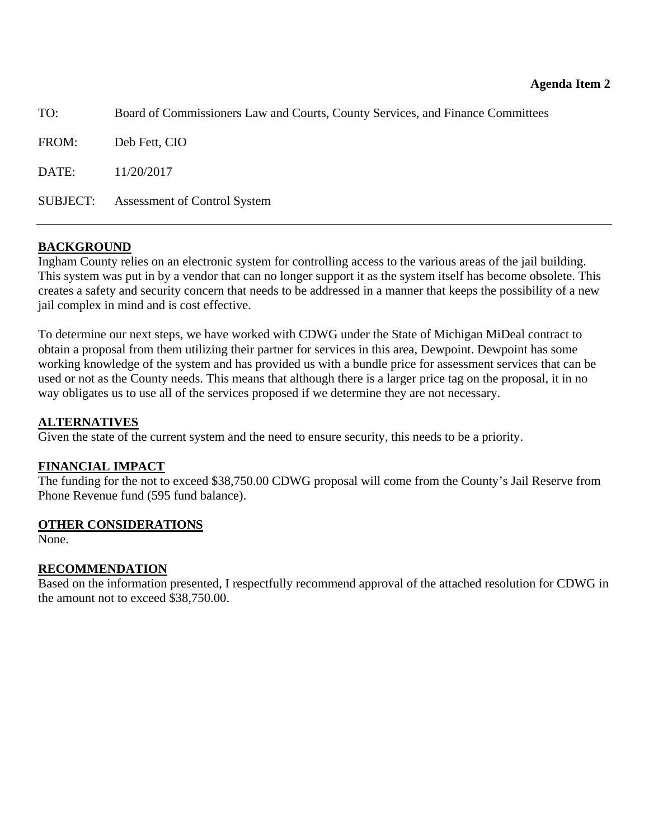<span id="page-7-0"></span>

| TO:   | Board of Commissioners Law and Courts, County Services, and Finance Committees |  |  |  |
|-------|--------------------------------------------------------------------------------|--|--|--|
| FROM: | Deb Fett, CIO                                                                  |  |  |  |
| DATE: | 11/20/2017                                                                     |  |  |  |
|       | <b>SUBJECT:</b> Assessment of Control System                                   |  |  |  |

### **BACKGROUND**

Ingham County relies on an electronic system for controlling access to the various areas of the jail building. This system was put in by a vendor that can no longer support it as the system itself has become obsolete. This creates a safety and security concern that needs to be addressed in a manner that keeps the possibility of a new jail complex in mind and is cost effective.

To determine our next steps, we have worked with CDWG under the State of Michigan MiDeal contract to obtain a proposal from them utilizing their partner for services in this area, Dewpoint. Dewpoint has some working knowledge of the system and has provided us with a bundle price for assessment services that can be used or not as the County needs. This means that although there is a larger price tag on the proposal, it in no way obligates us to use all of the services proposed if we determine they are not necessary.

### **ALTERNATIVES**

Given the state of the current system and the need to ensure security, this needs to be a priority.

#### **FINANCIAL IMPACT**

The funding for the not to exceed \$38,750.00 CDWG proposal will come from the County's Jail Reserve from Phone Revenue fund (595 fund balance).

#### **OTHER CONSIDERATIONS**

None.

#### **RECOMMENDATION**

Based on the information presented, I respectfully recommend approval of the attached resolution for CDWG in the amount not to exceed \$38,750.00.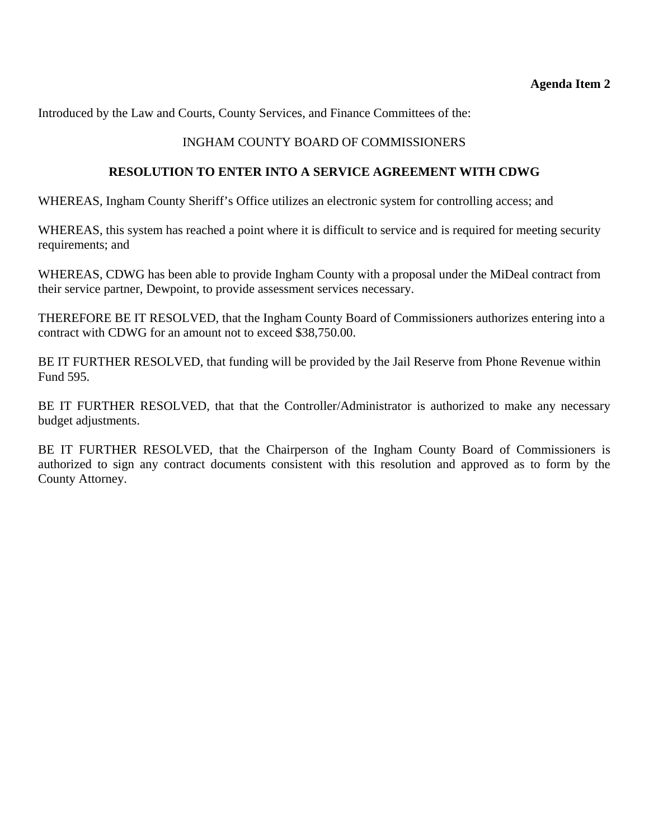Introduced by the Law and Courts, County Services, and Finance Committees of the:

## INGHAM COUNTY BOARD OF COMMISSIONERS

### **RESOLUTION TO ENTER INTO A SERVICE AGREEMENT WITH CDWG**

WHEREAS, Ingham County Sheriff's Office utilizes an electronic system for controlling access; and

WHEREAS, this system has reached a point where it is difficult to service and is required for meeting security requirements; and

WHEREAS, CDWG has been able to provide Ingham County with a proposal under the MiDeal contract from their service partner, Dewpoint, to provide assessment services necessary.

THEREFORE BE IT RESOLVED, that the Ingham County Board of Commissioners authorizes entering into a contract with CDWG for an amount not to exceed \$38,750.00.

BE IT FURTHER RESOLVED, that funding will be provided by the Jail Reserve from Phone Revenue within Fund 595.

BE IT FURTHER RESOLVED, that that the Controller/Administrator is authorized to make any necessary budget adjustments.

BE IT FURTHER RESOLVED, that the Chairperson of the Ingham County Board of Commissioners is authorized to sign any contract documents consistent with this resolution and approved as to form by the County Attorney.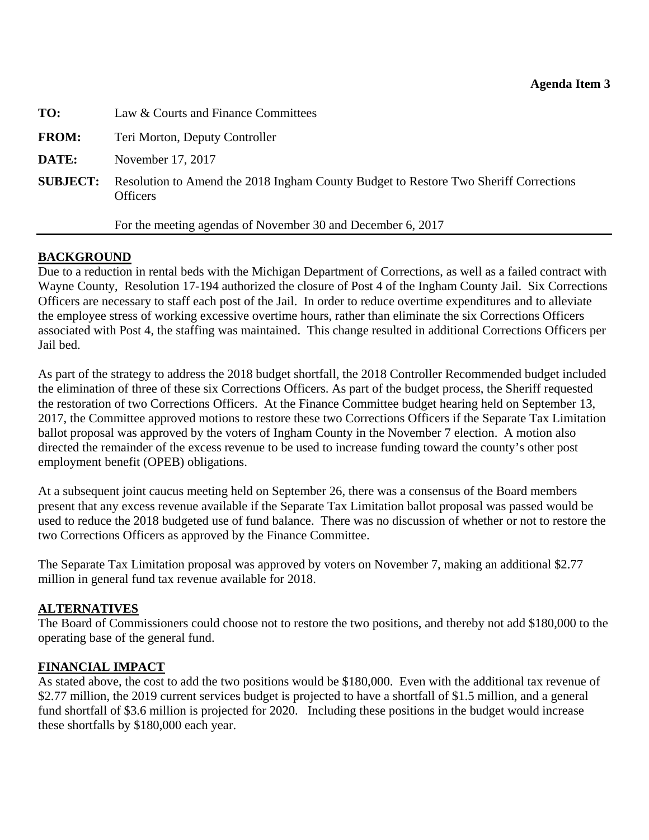<span id="page-9-0"></span>

| TO:             | Law & Courts and Finance Committees                                                                     |  |  |  |  |
|-----------------|---------------------------------------------------------------------------------------------------------|--|--|--|--|
| <b>FROM:</b>    | Teri Morton, Deputy Controller                                                                          |  |  |  |  |
| DATE:           | November 17, 2017                                                                                       |  |  |  |  |
| <b>SUBJECT:</b> | Resolution to Amend the 2018 Ingham County Budget to Restore Two Sheriff Corrections<br><b>Officers</b> |  |  |  |  |
|                 | For the meeting agendas of November 30 and December 6, 2017                                             |  |  |  |  |

# **BACKGROUND**

Due to a reduction in rental beds with the Michigan Department of Corrections, as well as a failed contract with Wayne County, Resolution 17-194 authorized the closure of Post 4 of the Ingham County Jail. Six Corrections Officers are necessary to staff each post of the Jail. In order to reduce overtime expenditures and to alleviate the employee stress of working excessive overtime hours, rather than eliminate the six Corrections Officers associated with Post 4, the staffing was maintained. This change resulted in additional Corrections Officers per Jail bed.

As part of the strategy to address the 2018 budget shortfall, the 2018 Controller Recommended budget included the elimination of three of these six Corrections Officers. As part of the budget process, the Sheriff requested the restoration of two Corrections Officers. At the Finance Committee budget hearing held on September 13, 2017, the Committee approved motions to restore these two Corrections Officers if the Separate Tax Limitation ballot proposal was approved by the voters of Ingham County in the November 7 election. A motion also directed the remainder of the excess revenue to be used to increase funding toward the county's other post employment benefit (OPEB) obligations.

At a subsequent joint caucus meeting held on September 26, there was a consensus of the Board members present that any excess revenue available if the Separate Tax Limitation ballot proposal was passed would be used to reduce the 2018 budgeted use of fund balance. There was no discussion of whether or not to restore the two Corrections Officers as approved by the Finance Committee.

The Separate Tax Limitation proposal was approved by voters on November 7, making an additional \$2.77 million in general fund tax revenue available for 2018.

### **ALTERNATIVES**

The Board of Commissioners could choose not to restore the two positions, and thereby not add \$180,000 to the operating base of the general fund.

#### **FINANCIAL IMPACT**

As stated above, the cost to add the two positions would be \$180,000. Even with the additional tax revenue of \$2.77 million, the 2019 current services budget is projected to have a shortfall of \$1.5 million, and a general fund shortfall of \$3.6 million is projected for 2020. Including these positions in the budget would increase these shortfalls by \$180,000 each year.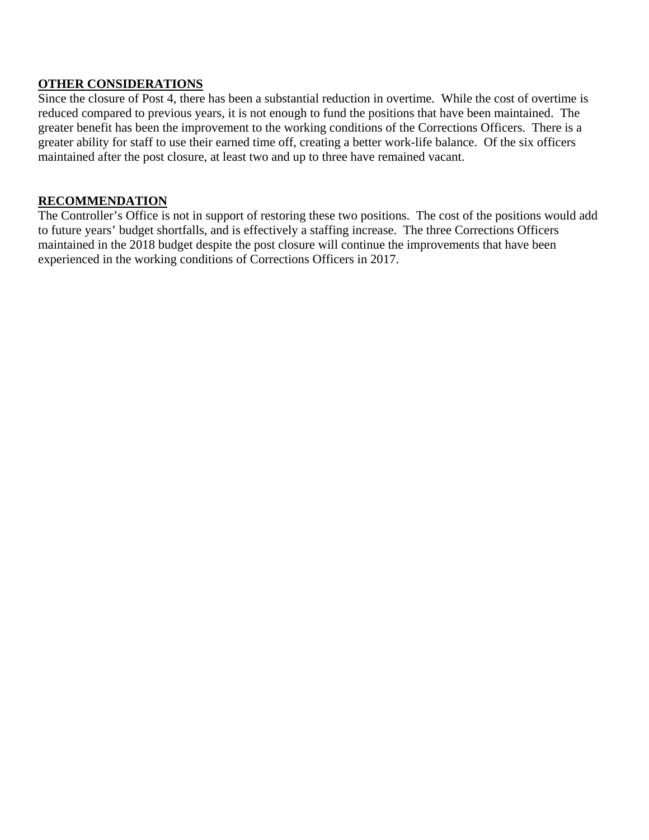## **OTHER CONSIDERATIONS**

Since the closure of Post 4, there has been a substantial reduction in overtime. While the cost of overtime is reduced compared to previous years, it is not enough to fund the positions that have been maintained. The greater benefit has been the improvement to the working conditions of the Corrections Officers. There is a greater ability for staff to use their earned time off, creating a better work-life balance. Of the six officers maintained after the post closure, at least two and up to three have remained vacant.

# **RECOMMENDATION**

The Controller's Office is not in support of restoring these two positions. The cost of the positions would add to future years' budget shortfalls, and is effectively a staffing increase. The three Corrections Officers maintained in the 2018 budget despite the post closure will continue the improvements that have been experienced in the working conditions of Corrections Officers in 2017.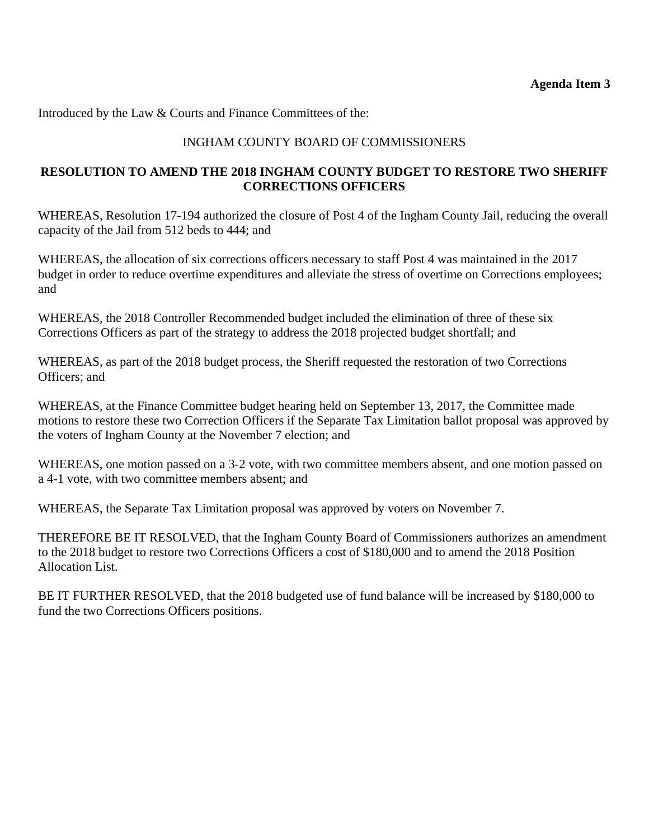Introduced by the Law & Courts and Finance Committees of the:

# INGHAM COUNTY BOARD OF COMMISSIONERS

### **RESOLUTION TO AMEND THE 2018 INGHAM COUNTY BUDGET TO RESTORE TWO SHERIFF CORRECTIONS OFFICERS**

WHEREAS, Resolution 17-194 authorized the closure of Post 4 of the Ingham County Jail, reducing the overall capacity of the Jail from 512 beds to 444; and

WHEREAS, the allocation of six corrections officers necessary to staff Post 4 was maintained in the 2017 budget in order to reduce overtime expenditures and alleviate the stress of overtime on Corrections employees; and

WHEREAS, the 2018 Controller Recommended budget included the elimination of three of these six Corrections Officers as part of the strategy to address the 2018 projected budget shortfall; and

WHEREAS, as part of the 2018 budget process, the Sheriff requested the restoration of two Corrections Officers; and

WHEREAS, at the Finance Committee budget hearing held on September 13, 2017, the Committee made motions to restore these two Correction Officers if the Separate Tax Limitation ballot proposal was approved by the voters of Ingham County at the November 7 election; and

WHEREAS, one motion passed on a 3-2 vote, with two committee members absent, and one motion passed on a 4-1 vote, with two committee members absent; and

WHEREAS, the Separate Tax Limitation proposal was approved by voters on November 7.

THEREFORE BE IT RESOLVED, that the Ingham County Board of Commissioners authorizes an amendment to the 2018 budget to restore two Corrections Officers a cost of \$180,000 and to amend the 2018 Position Allocation List.

BE IT FURTHER RESOLVED, that the 2018 budgeted use of fund balance will be increased by \$180,000 to fund the two Corrections Officers positions.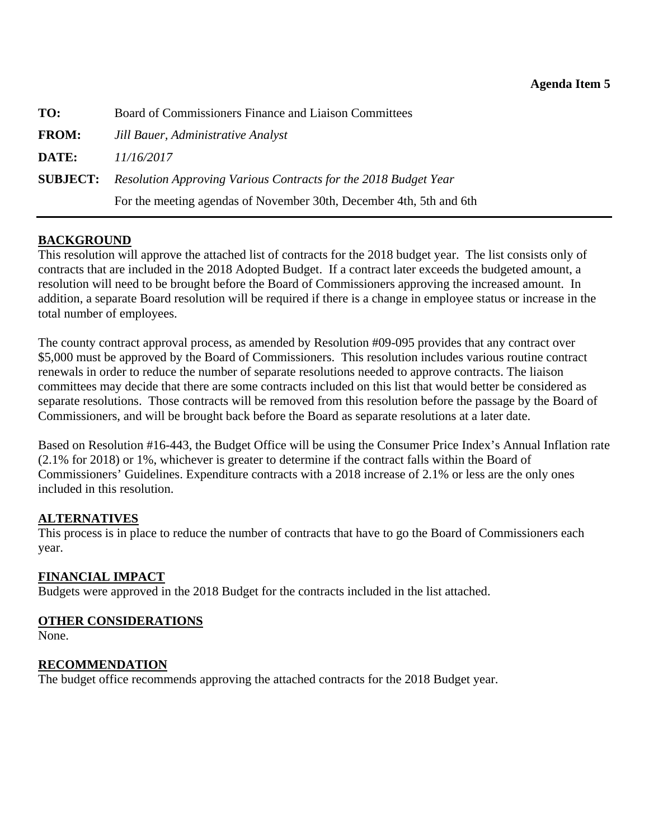<span id="page-12-0"></span>

| TO:          | Board of Commissioners Finance and Liaison Committees                           |
|--------------|---------------------------------------------------------------------------------|
| <b>FROM:</b> | Jill Bauer, Administrative Analyst                                              |
| DATE:        | 11/16/2017                                                                      |
|              | <b>SUBJECT:</b> Resolution Approving Various Contracts for the 2018 Budget Year |
|              | For the meeting agendas of November 30th, December 4th, 5th and 6th             |

# **BACKGROUND**

This resolution will approve the attached list of contracts for the 2018 budget year. The list consists only of contracts that are included in the 2018 Adopted Budget. If a contract later exceeds the budgeted amount, a resolution will need to be brought before the Board of Commissioners approving the increased amount. In addition, a separate Board resolution will be required if there is a change in employee status or increase in the total number of employees.

The county contract approval process, as amended by Resolution #09-095 provides that any contract over \$5,000 must be approved by the Board of Commissioners. This resolution includes various routine contract renewals in order to reduce the number of separate resolutions needed to approve contracts. The liaison committees may decide that there are some contracts included on this list that would better be considered as separate resolutions. Those contracts will be removed from this resolution before the passage by the Board of Commissioners, and will be brought back before the Board as separate resolutions at a later date.

Based on Resolution #16-443, the Budget Office will be using the Consumer Price Index's Annual Inflation rate (2.1% for 2018) or 1%, whichever is greater to determine if the contract falls within the Board of Commissioners' Guidelines. Expenditure contracts with a 2018 increase of 2.1% or less are the only ones included in this resolution.

### **ALTERNATIVES**

This process is in place to reduce the number of contracts that have to go the Board of Commissioners each year.

### **FINANCIAL IMPACT**

Budgets were approved in the 2018 Budget for the contracts included in the list attached.

#### **OTHER CONSIDERATIONS**

None.

### **RECOMMENDATION**

The budget office recommends approving the attached contracts for the 2018 Budget year.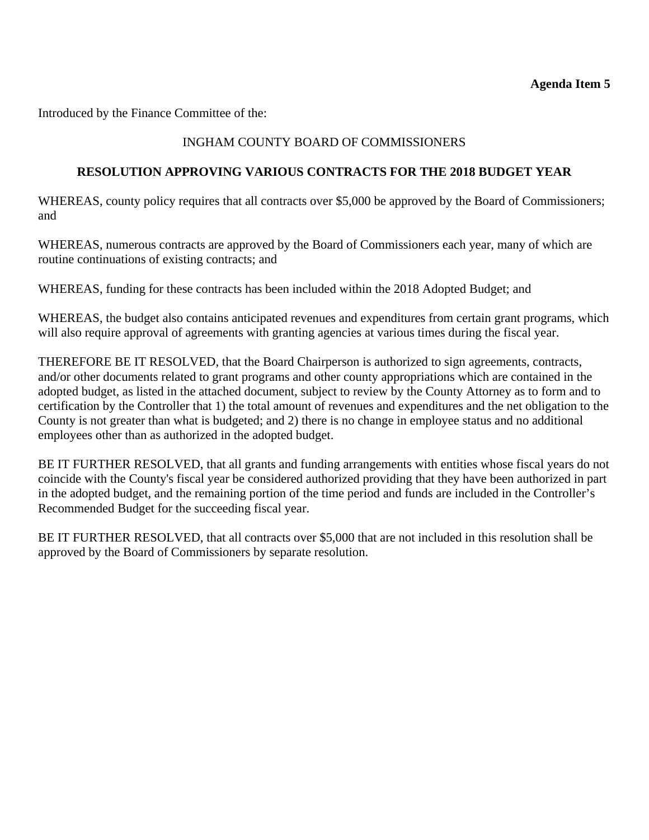### **Agenda Item 5**

Introduced by the Finance Committee of the:

# INGHAM COUNTY BOARD OF COMMISSIONERS

### **RESOLUTION APPROVING VARIOUS CONTRACTS FOR THE 2018 BUDGET YEAR**

WHEREAS, county policy requires that all contracts over \$5,000 be approved by the Board of Commissioners; and

WHEREAS, numerous contracts are approved by the Board of Commissioners each year, many of which are routine continuations of existing contracts; and

WHEREAS, funding for these contracts has been included within the 2018 Adopted Budget; and

WHEREAS, the budget also contains anticipated revenues and expenditures from certain grant programs, which will also require approval of agreements with granting agencies at various times during the fiscal year.

THEREFORE BE IT RESOLVED, that the Board Chairperson is authorized to sign agreements, contracts, and/or other documents related to grant programs and other county appropriations which are contained in the adopted budget, as listed in the attached document, subject to review by the County Attorney as to form and to certification by the Controller that 1) the total amount of revenues and expenditures and the net obligation to the County is not greater than what is budgeted; and 2) there is no change in employee status and no additional employees other than as authorized in the adopted budget.

BE IT FURTHER RESOLVED, that all grants and funding arrangements with entities whose fiscal years do not coincide with the County's fiscal year be considered authorized providing that they have been authorized in part in the adopted budget, and the remaining portion of the time period and funds are included in the Controller's Recommended Budget for the succeeding fiscal year.

BE IT FURTHER RESOLVED, that all contracts over \$5,000 that are not included in this resolution shall be approved by the Board of Commissioners by separate resolution.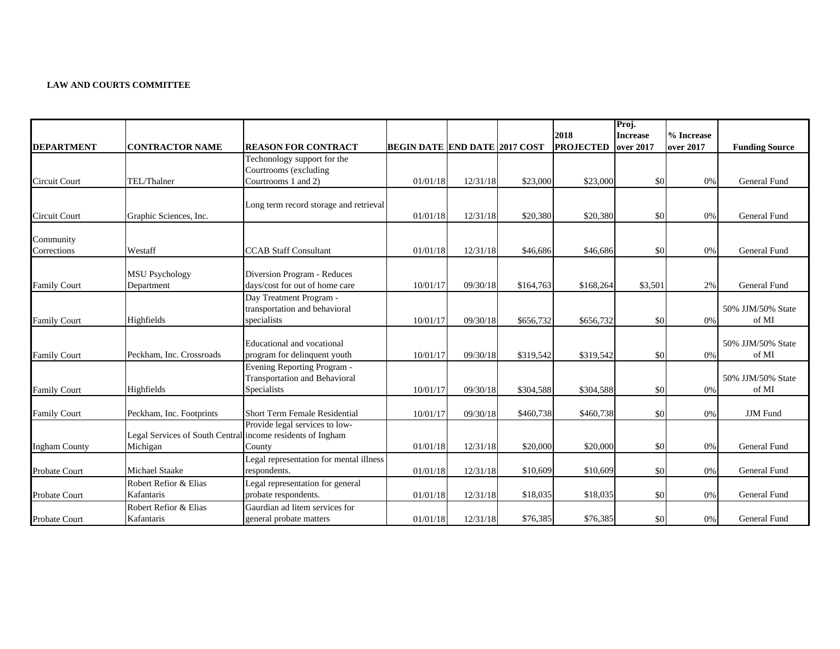#### **LAW AND COURTS COMMITTEE**

|                          |                                                                        |                                                                                    |                                      |          |           |                          | Proj.                        |                         |                            |
|--------------------------|------------------------------------------------------------------------|------------------------------------------------------------------------------------|--------------------------------------|----------|-----------|--------------------------|------------------------------|-------------------------|----------------------------|
| <b>DEPARTMENT</b>        | <b>CONTRACTOR NAME</b>                                                 | <b>REASON FOR CONTRACT</b>                                                         | <b>BEGIN DATE END DATE 2017 COST</b> |          |           | 2018<br><b>PROJECTED</b> | <b>Increase</b><br>over 2017 | % Increase<br>over 2017 | <b>Funding Source</b>      |
|                          |                                                                        | Techonology support for the<br>Courtrooms (excluding                               |                                      |          |           |                          |                              |                         |                            |
| <b>Circuit Court</b>     | TEL/Thalner                                                            | Courtrooms 1 and 2)                                                                | 01/01/18                             | 12/31/18 | \$23,000  | \$23,000                 | \$0                          | 0%                      | General Fund               |
| <b>Circuit Court</b>     | Graphic Sciences, Inc.                                                 | Long term record storage and retrieval                                             | 01/01/18                             | 12/31/18 | \$20,380  | \$20,380                 | \$0                          | 0%                      | <b>General Fund</b>        |
|                          |                                                                        |                                                                                    |                                      |          |           |                          |                              |                         |                            |
| Community<br>Corrections | Westaff                                                                | <b>CCAB Staff Consultant</b>                                                       | 01/01/18                             | 12/31/18 | \$46,686  | \$46,686                 | \$0                          | 0%                      | General Fund               |
| <b>Family Court</b>      | <b>MSU Psychology</b><br>Department                                    | Diversion Program - Reduces<br>days/cost for out of home care                      | 10/01/17                             | 09/30/18 | \$164,763 | \$168,264                | \$3,501                      | 2%                      | General Fund               |
| <b>Family Court</b>      | Highfields                                                             | Day Treatment Program -<br>transportation and behavioral<br>specialists            | 10/01/17                             | 09/30/18 | \$656,732 | \$656,732                | \$0                          | 0%                      | 50% JJM/50% State<br>of MI |
| <b>Family Court</b>      | Peckham, Inc. Crossroads                                               | Educational and vocational<br>program for delinquent youth                         | 10/01/17                             | 09/30/18 | \$319.542 | \$319,542                | \$0                          | 0%                      | 50% JJM/50% State<br>of MI |
| <b>Family Court</b>      | Highfields                                                             | Evening Reporting Program -<br><b>Transportation and Behavioral</b><br>Specialists | 10/01/17                             | 09/30/18 | \$304,588 | \$304,588                | \$0                          | 0%                      | 50% JJM/50% State<br>of MI |
| <b>Family Court</b>      | Peckham, Inc. Footprints                                               | <b>Short Term Female Residential</b>                                               | 10/01/17                             | 09/30/18 | \$460,738 | \$460,738                | \$0                          | 0%                      | <b>JJM</b> Fund            |
| <b>Ingham County</b>     | Legal Services of South Central income residents of Ingham<br>Michigan | Provide legal services to low-<br>County                                           | 01/01/18                             | 12/31/18 | \$20,000  | \$20,000                 | \$0                          | 0%                      | General Fund               |
| Probate Court            | <b>Michael Staake</b>                                                  | Legal representation for mental illness<br>respondents.                            | 01/01/18                             | 12/31/18 | \$10,609  | \$10,609                 | \$0                          | 0%                      | General Fund               |
| <b>Probate Court</b>     | Robert Refior & Elias<br>Kafantaris                                    | Legal representation for general<br>probate respondents.                           | 01/01/18                             | 12/31/18 | \$18,035  | \$18,035                 | \$0                          | 0%                      | General Fund               |
| <b>Probate Court</b>     | Robert Refior & Elias<br>Kafantaris                                    | Gaurdian ad litem services for<br>general probate matters                          | 01/01/18                             | 12/31/18 | \$76,385  | \$76,385                 | \$0                          | 0%                      | General Fund               |